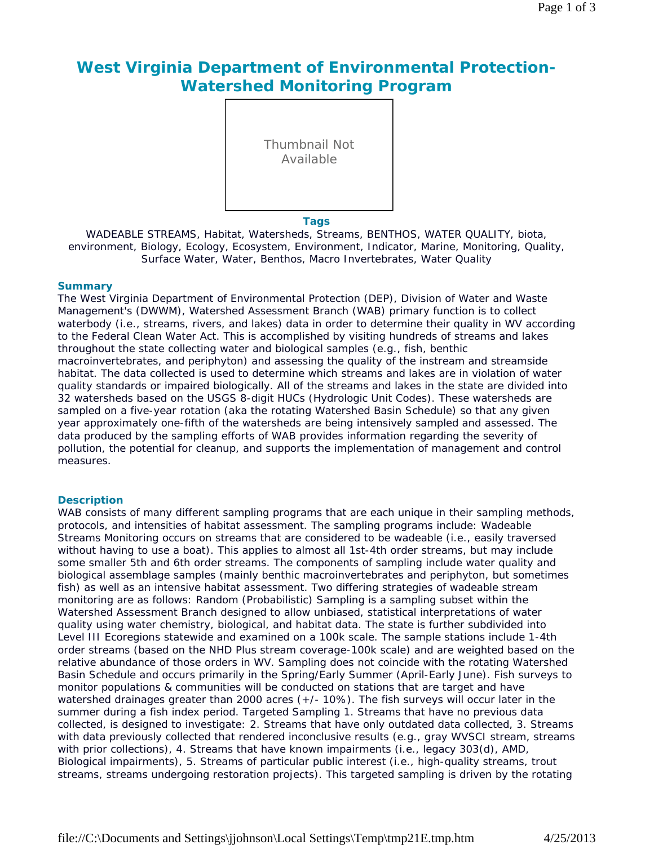# **West Virginia Department of Environmental Protection-Watershed Monitoring Program**

Thumbnail Not Available

#### **Tags**

WADEABLE STREAMS, Habitat, Watersheds, Streams, BENTHOS, WATER QUALITY, biota, environment, Biology, Ecology, Ecosystem, Environment, Indicator, Marine, Monitoring, Quality, Surface Water, Water, Benthos, Macro Invertebrates, Water Quality

#### **Summary**

The West Virginia Department of Environmental Protection (DEP), Division of Water and Waste Management's (DWWM), Watershed Assessment Branch (WAB) primary function is to collect waterbody (i.e., streams, rivers, and lakes) data in order to determine their quality in WV according to the Federal Clean Water Act. This is accomplished by visiting hundreds of streams and lakes throughout the state collecting water and biological samples (e.g., fish, benthic macroinvertebrates, and periphyton) and assessing the quality of the instream and streamside habitat. The data collected is used to determine which streams and lakes are in violation of water quality standards or impaired biologically. All of the streams and lakes in the state are divided into 32 watersheds based on the USGS 8-digit HUCs (Hydrologic Unit Codes). These watersheds are sampled on a five-year rotation (aka the rotating Watershed Basin Schedule) so that any given year approximately one-fifth of the watersheds are being intensively sampled and assessed. The data produced by the sampling efforts of WAB provides information regarding the severity of pollution, the potential for cleanup, and supports the implementation of management and control measures.

#### **Description**

WAB consists of many different sampling programs that are each unique in their sampling methods, protocols, and intensities of habitat assessment. The sampling programs include: Wadeable Streams Monitoring occurs on streams that are considered to be wadeable (i.e., easily traversed without having to use a boat). This applies to almost all 1st-4th order streams, but may include some smaller 5th and 6th order streams. The components of sampling include water quality and biological assemblage samples (mainly benthic macroinvertebrates and periphyton, but sometimes fish) as well as an intensive habitat assessment. Two differing strategies of wadeable stream monitoring are as follows: Random (Probabilistic) Sampling is a sampling subset within the Watershed Assessment Branch designed to allow unbiased, statistical interpretations of water quality using water chemistry, biological, and habitat data. The state is further subdivided into Level III Ecoregions statewide and examined on a 100k scale. The sample stations include 1-4th order streams (based on the NHD Plus stream coverage-100k scale) and are weighted based on the relative abundance of those orders in WV. Sampling does not coincide with the rotating Watershed Basin Schedule and occurs primarily in the Spring/Early Summer (April-Early June). Fish surveys to monitor populations & communities will be conducted on stations that are target and have watershed drainages greater than 2000 acres (+/- 10%). The fish surveys will occur later in the summer during a fish index period. Targeted Sampling 1. Streams that have no previous data collected, is designed to investigate: 2. Streams that have only outdated data collected, 3. Streams with data previously collected that rendered inconclusive results (e.g., gray WVSCI stream, streams with prior collections), 4. Streams that have known impairments (i.e., legacy 303(d), AMD, Biological impairments), 5. Streams of particular public interest (i.e., high-quality streams, trout streams, streams undergoing restoration projects). This targeted sampling is driven by the rotating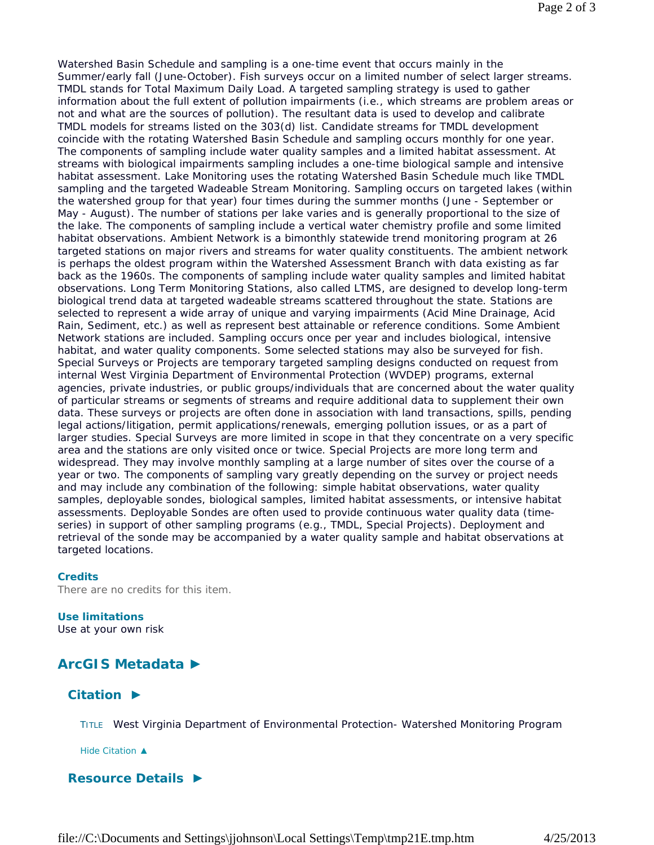Watershed Basin Schedule and sampling is a one-time event that occurs mainly in the Summer/early fall (June-October). Fish surveys occur on a limited number of select larger streams. TMDL stands for Total Maximum Daily Load. A targeted sampling strategy is used to gather information about the full extent of pollution impairments (i.e., which streams are problem areas or not and what are the sources of pollution). The resultant data is used to develop and calibrate TMDL models for streams listed on the 303(d) list. Candidate streams for TMDL development coincide with the rotating Watershed Basin Schedule and sampling occurs monthly for one year. The components of sampling include water quality samples and a limited habitat assessment. At streams with biological impairments sampling includes a one-time biological sample and intensive habitat assessment. Lake Monitoring uses the rotating Watershed Basin Schedule much like TMDL sampling and the targeted Wadeable Stream Monitoring. Sampling occurs on targeted lakes (within the watershed group for that year) four times during the summer months (June - September or May - August). The number of stations per lake varies and is generally proportional to the size of the lake. The components of sampling include a vertical water chemistry profile and some limited habitat observations. Ambient Network is a bimonthly statewide trend monitoring program at 26 targeted stations on major rivers and streams for water quality constituents. The ambient network is perhaps the oldest program within the Watershed Assessment Branch with data existing as far back as the 1960s. The components of sampling include water quality samples and limited habitat observations. Long Term Monitoring Stations, also called LTMS, are designed to develop long-term biological trend data at targeted wadeable streams scattered throughout the state. Stations are selected to represent a wide array of unique and varying impairments (Acid Mine Drainage, Acid Rain, Sediment, etc.) as well as represent best attainable or reference conditions. Some Ambient Network stations are included. Sampling occurs once per year and includes biological, intensive habitat, and water quality components. Some selected stations may also be surveyed for fish. Special Surveys or Projects are temporary targeted sampling designs conducted on request from internal West Virginia Department of Environmental Protection (WVDEP) programs, external agencies, private industries, or public groups/individuals that are concerned about the water quality of particular streams or segments of streams and require additional data to supplement their own data. These surveys or projects are often done in association with land transactions, spills, pending legal actions/litigation, permit applications/renewals, emerging pollution issues, or as a part of larger studies. Special Surveys are more limited in scope in that they concentrate on a very specific area and the stations are only visited once or twice. Special Projects are more long term and widespread. They may involve monthly sampling at a large number of sites over the course of a year or two. The components of sampling vary greatly depending on the survey or project needs and may include any combination of the following: simple habitat observations, water quality samples, deployable sondes, biological samples, limited habitat assessments, or intensive habitat assessments. Deployable Sondes are often used to provide continuous water quality data (timeseries) in support of other sampling programs (e.g., TMDL, Special Projects). Deployment and retrieval of the sonde may be accompanied by a water quality sample and habitat observations at targeted locations.

#### **Credits**

There are no credits for this item.

# **Use limitations**

Use at your own risk

# **ArcGIS Metadata ►**

### **Citation ►**

TITLE West Virginia Department of Environmental Protection- Watershed Monitoring Program

*Hide Citation ▲*

### **Resource Details ►**